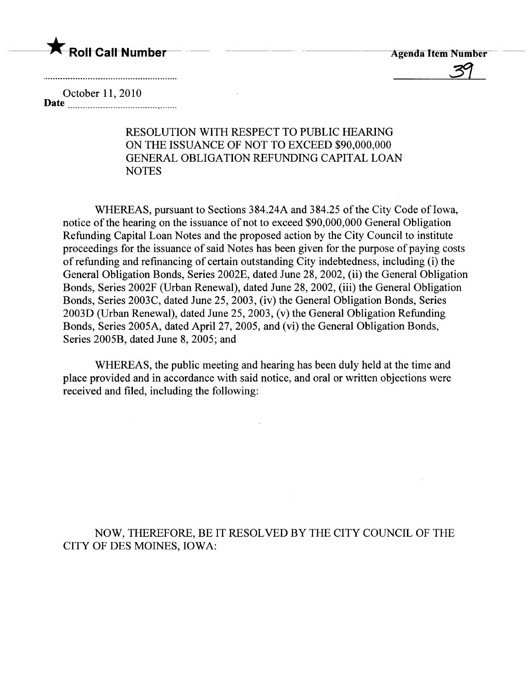



October 11,2010 Date

## RESOLUTION WITH RESPECT TO PUBLIC HEARING ON THE ISSUANCE OF NOT TO EXCEED \$90,000,000 GENERAL OBLIGATION REFUNDING CAPITAL LOAN **NOTES**

WHEREAS, pursuant to Sections 384.24A and 384.25 of the City Code of Iowa, notice of the hearing on the issuance of not to exceed \$90,000,000 General Obligation Refunding Capital Loan Notes and the proposed action by the City Council to institute proceedings for the issuance of said Notes has been given for the purpose of paying costs of refunding and refinancing of certain outstanding City indebtedness, including (i) the General Obligation Bonds, Series 2002E, dated June 28, 2002, (ii) the General Obligation Bonds, Series 2002F (Urban Renewal), dated June 28, 2002, (iii) the General Obligation Bonds, Series 2003C, dated June 25, 2003, (iv) the General Obligation Bonds, Series 2003D (Urban Renewal), dated June 25, 2003, (v) the General Obligation Refunding Bonds, Series 2005A, dated April 27, 2005, and (vi) the General Obligation Bonds, Series 2005B, dated June 8, 2005; and

WHEREAS, the public meeting and hearing has been duly held at the time and place provided and in accordance with said notice, and oral or written objections were received and fied, including the following:

NOW, THEREFORE, BE IT RESOLVED BY THE CITY COUNCIL OF THE CITY OF DES MOINES, IOWA: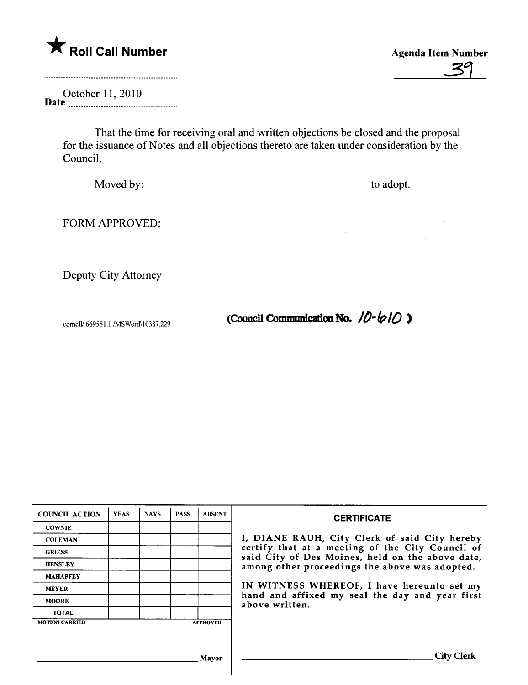A Roll Call Number<br>Agenda Item Number<br>39

October 11,2010 Date \_ \_ uuuu\_ \_ \_ \_0000000000\_ \_ \_ \_ \_\_\_ \_000000 \_ \_00\_\_

> That the time for receiving oral and written objections be closed and the proposal for the issuance of Notes and all objections thereto are taken under consideration by the CounciL.

Moved by: to adopt.

FORM APPROVED:

Deputy City Attorney

cornell/ 669551.1/MSWord\10387.229 (Council Communication No.  $\pi$ )

| <b>COUNCIL ACTION</b> | <b>YEAS</b> | <b>NAYS</b> | <b>PASS</b> | <b>ABSENT</b>   | <b>CERTIFICATE</b>                                                                                                                                                                                                                                                                                                         |
|-----------------------|-------------|-------------|-------------|-----------------|----------------------------------------------------------------------------------------------------------------------------------------------------------------------------------------------------------------------------------------------------------------------------------------------------------------------------|
| <b>COWNIE</b>         |             |             |             |                 | I, DIANE RAUH, City Clerk of said City hereby<br>certify that at a meeting of the City Council of<br>said City of Des Moines, held on the above date,<br>among other proceedings the above was adopted.<br>IN WITNESS WHEREOF, I have hereunto set my<br>hand and affixed my seal the day and year first<br>above written. |
| <b>COLEMAN</b>        |             |             |             |                 |                                                                                                                                                                                                                                                                                                                            |
| <b>GRIESS</b>         |             |             |             |                 |                                                                                                                                                                                                                                                                                                                            |
| <b>HENSLEY</b>        |             |             |             |                 |                                                                                                                                                                                                                                                                                                                            |
| <b>MAHAFFEY</b>       |             |             |             |                 |                                                                                                                                                                                                                                                                                                                            |
| <b>MEYER</b>          |             |             |             |                 |                                                                                                                                                                                                                                                                                                                            |
| <b>MOORE</b>          |             |             |             |                 |                                                                                                                                                                                                                                                                                                                            |
| <b>TOTAL</b>          |             |             |             |                 |                                                                                                                                                                                                                                                                                                                            |
| <b>MOTION CARRIED</b> |             |             |             | <b>APPROVED</b> |                                                                                                                                                                                                                                                                                                                            |
|                       |             |             |             |                 |                                                                                                                                                                                                                                                                                                                            |
|                       |             |             |             | Mavor           | <b>City Clerk</b>                                                                                                                                                                                                                                                                                                          |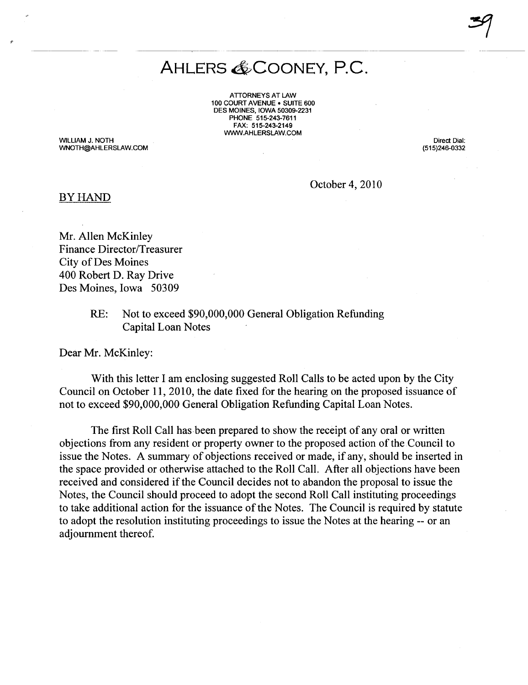## AHLERS & COONEY, P.C.

 $~1.29$ 

ATTORNEYS AT LAW 100 COURT AVENUE . SUITE 600 DES MOINES, IOWA 50309-2231 PHONE 515-243-7611 FAX: 515-243-2149 WW.AHLERSLAW.COM

WILLIAM J. NOTH WNOTH@AHLERSLAW.COM

Direct Dial: (515)246-0332

October 4,2010

## BY HAND

Mr. Allen McKinley Finance Director/Treasurer City of Des Moines 400 Robert D. Ray Drive Des Moines, Iowa 50309

> RE: Not to exceed \$90,000,000 General Obligation Refunding Capital Loan Notes

Dear Mr. McKinley:

With this letter I am enclosing suggested Roll Calls to be acted upon by the City Council on October 11, 2010, the date fixed for the hearing on the proposed issuance of not to exceed \$90,000,000 General Obligation Refunding Capital Loan Notes.

The first Roll Call has.been prepared to show the receipt of any oral or written objections from any resident or property owner to the proposed action of the Council to issue the Notes. A summary of objections received or made, if any, should be inserted in the space provided or otherwise attached to the Roll CalL. After all objections have been received and considered if the Council decides not to abandon the proposal to issue the Notes, the Council should proceed to adopt the second Roll Call instituting proceedings to take additional action for the issuance of the Notes. The Council is required by statute to adopt the resolution instituting proceedings to issue the Notes at the hearing -- or an adjournment thereof.